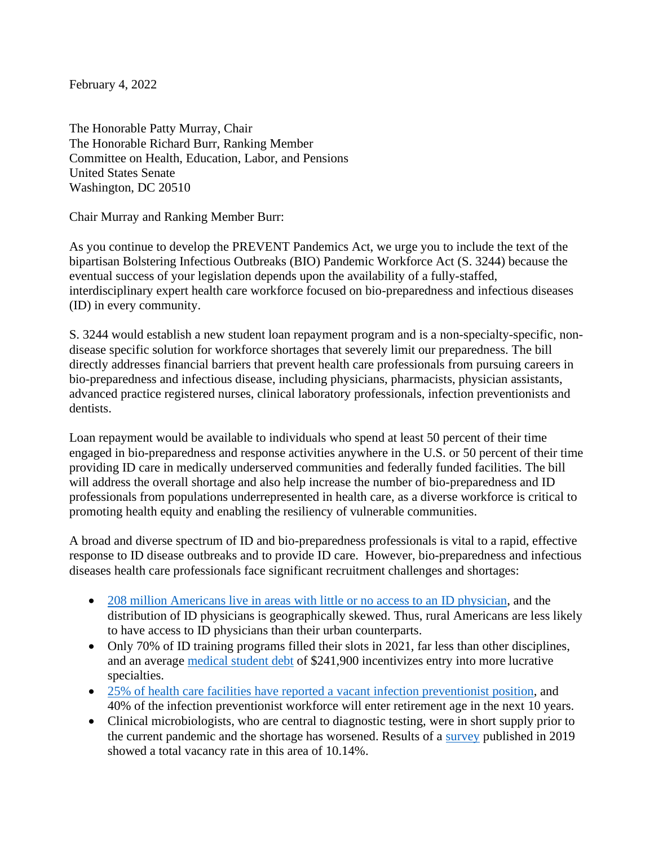February 4, 2022

The Honorable Patty Murray, Chair The Honorable Richard Burr, Ranking Member Committee on Health, Education, Labor, and Pensions United States Senate Washington, DC 20510

Chair Murray and Ranking Member Burr:

As you continue to develop the PREVENT Pandemics Act, we urge you to include the text of the bipartisan Bolstering Infectious Outbreaks (BIO) Pandemic Workforce Act (S. 3244) because the eventual success of your legislation depends upon the availability of a fully-staffed, interdisciplinary expert health care workforce focused on bio-preparedness and infectious diseases (ID) in every community.

S. 3244 would establish a new student loan repayment program and is a non-specialty-specific, nondisease specific solution for workforce shortages that severely limit our preparedness. The bill directly addresses financial barriers that prevent health care professionals from pursuing careers in bio-preparedness and infectious disease, including physicians, pharmacists, physician assistants, advanced practice registered nurses, clinical laboratory professionals, infection preventionists and dentists.

Loan repayment would be available to individuals who spend at least 50 percent of their time engaged in bio-preparedness and response activities anywhere in the U.S. or 50 percent of their time providing ID care in medically underserved communities and federally funded facilities. The bill will address the overall shortage and also help increase the number of bio-preparedness and ID professionals from populations underrepresented in health care, as a diverse workforce is critical to promoting health equity and enabling the resiliency of vulnerable communities.

A broad and diverse spectrum of ID and bio-preparedness professionals is vital to a rapid, effective response to ID disease outbreaks and to provide ID care. However, bio-preparedness and infectious diseases health care professionals face significant recruitment challenges and shortages:

- [208 million Americans live in areas with little or no access to an ID physician,](https://www.acpjournals.org/doi/full/10.7326/M20-2684) and the distribution of ID physicians is geographically skewed. Thus, rural Americans are less likely to have access to ID physicians than their urban counterparts.
- Only 70% of ID training programs filled their slots in 2021, far less than other disciplines, and an average [medical student debt](https://educationdata.org/average-medical-school-debt) of \$241,900 incentivizes entry into more lucrative specialties.
- [25% of health care facilities have reported a](https://pubmed.ncbi.nlm.nih.gov/32702390/) vacant infection preventionist position, and 40% of the infection preventionist workforce will enter retirement age in the next 10 years.
- Clinical microbiologists, who are central to diagnostic testing, were in short supply prior to the current pandemic and the shortage has worsened. Results of a [survey](https://doi.org/10.1093/ajcp/aqz046) published in 2019 showed a total vacancy rate in this area of 10.14%.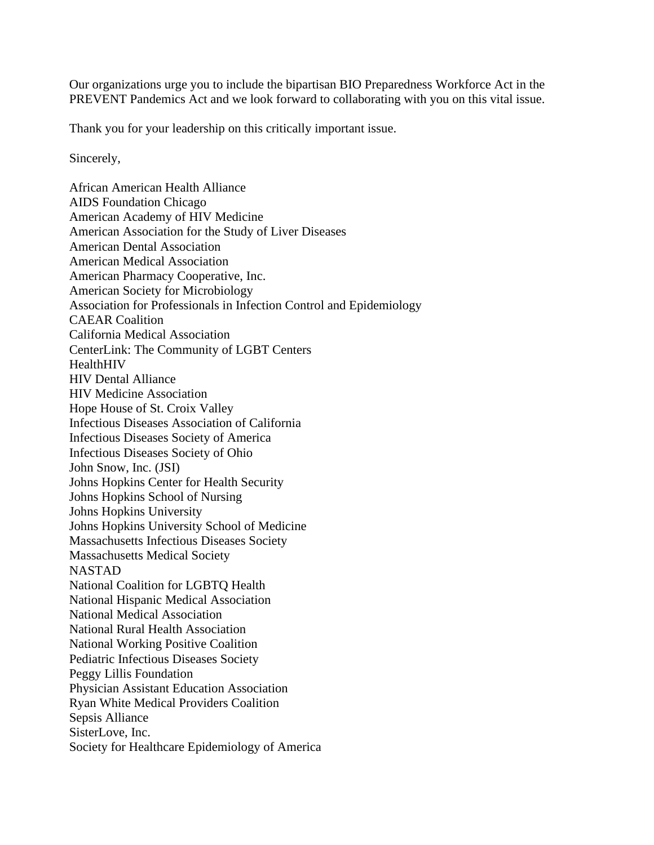Our organizations urge you to include the bipartisan BIO Preparedness Workforce Act in the PREVENT Pandemics Act and we look forward to collaborating with you on this vital issue.

Thank you for your leadership on this critically important issue.

Sincerely,

African American Health Alliance AIDS Foundation Chicago American Academy of HIV Medicine American Association for the Study of Liver Diseases American Dental Association American Medical Association American Pharmacy Cooperative, Inc. American Society for Microbiology Association for Professionals in Infection Control and Epidemiology CAEAR Coalition California Medical Association CenterLink: The Community of LGBT Centers HealthHIV HIV Dental Alliance HIV Medicine Association Hope House of St. Croix Valley Infectious Diseases Association of California Infectious Diseases Society of America Infectious Diseases Society of Ohio John Snow, Inc. (JSI) Johns Hopkins Center for Health Security Johns Hopkins School of Nursing Johns Hopkins University Johns Hopkins University School of Medicine Massachusetts Infectious Diseases Society Massachusetts Medical Society NASTAD National Coalition for LGBTQ Health National Hispanic Medical Association National Medical Association National Rural Health Association National Working Positive Coalition Pediatric Infectious Diseases Society Peggy Lillis Foundation Physician Assistant Education Association Ryan White Medical Providers Coalition Sepsis Alliance SisterLove, Inc. Society for Healthcare Epidemiology of America